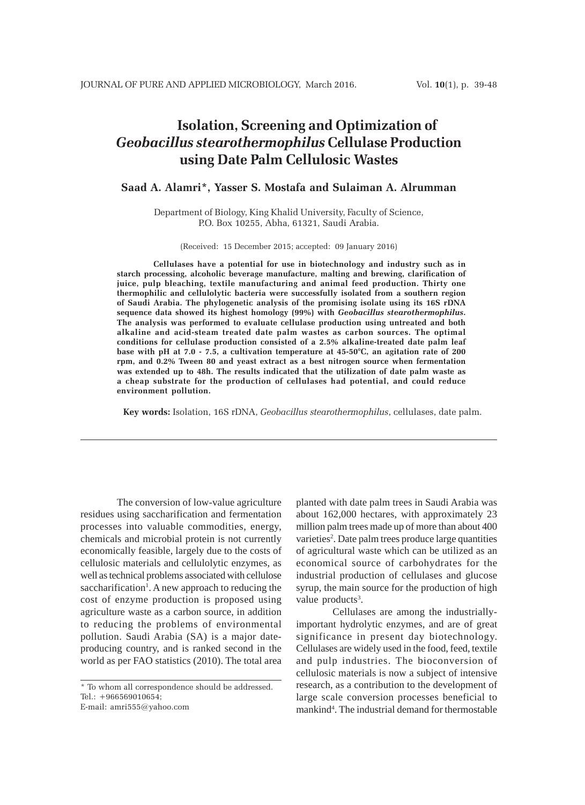# **Isolation, Screening and Optimization of** *Geobacillus stearothermophilus* **Cellulase Production using Date Palm Cellulosic Wastes**

## **Saad A. Alamri\*, Yasser S. Mostafa and Sulaiman A. Alrumman**

Department of Biology, King Khalid University, Faculty of Science, P.O. Box 10255, Abha, 61321, Saudi Arabia.

(Received: 15 December 2015; accepted: 09 January 2016)

**Cellulases have a potential for use in biotechnology and industry such as in starch processing, alcoholic beverage manufacture, malting and brewing, clarification of juice, pulp bleaching, textile manufacturing and animal feed production. Thirty one thermophilic and cellulolytic bacteria were successfully isolated from a southern region of Saudi Arabia. The phylogenetic analysis of the promising isolate using its 16S rDNA sequence data showed its highest homology (99%) with** *Geobacillus stearothermophilus***. The analysis was performed to evaluate cellulase production using untreated and both alkaline and acid-steam treated date palm wastes as carbon sources. The optimal conditions for cellulase production consisted of a 2.5% alkaline-treated date palm leaf base with pH at 7.0 - 7.5, a cultivation temperature at 45-50°C, an agitation rate of 200 rpm, and 0.2% Tween 80 and yeast extract as a best nitrogen source when fermentation was extended up to 48h. The results indicated that the utilization of date palm waste as a cheap substrate for the production of cellulases had potential, and could reduce environment pollution.**

**Key words:** Isolation, 16S rDNA, *Geobacillus stearothermophilus*, cellulases, date palm.

The conversion of low-value agriculture residues using saccharification and fermentation processes into valuable commodities, energy, chemicals and microbial protein is not currently economically feasible, largely due to the costs of cellulosic materials and cellulolytic enzymes, as well as technical problems associated with cellulose saccharification<sup>1</sup>. A new approach to reducing the cost of enzyme production is proposed using agriculture waste as a carbon source, in addition to reducing the problems of environmental pollution. Saudi Arabia (SA) is a major dateproducing country, and is ranked second in the world as per FAO statistics (2010). The total area

\* To whom all correspondence should be addressed. Tel.: +966569010654;

E-mail: amri555@yahoo.com

planted with date palm trees in Saudi Arabia was about 162,000 hectares, with approximately 23 million palm trees made up of more than about 400 varieties<sup>2</sup>. Date palm trees produce large quantities of agricultural waste which can be utilized as an economical source of carbohydrates for the industrial production of cellulases and glucose syrup, the main source for the production of high value products<sup>3</sup>.

Cellulases are among the industriallyimportant hydrolytic enzymes, and are of great significance in present day biotechnology. Cellulases are widely used in the food, feed, textile and pulp industries. The bioconversion of cellulosic materials is now a subject of intensive research, as a contribution to the development of large scale conversion processes beneficial to mankind<sup>4</sup>. The industrial demand for thermostable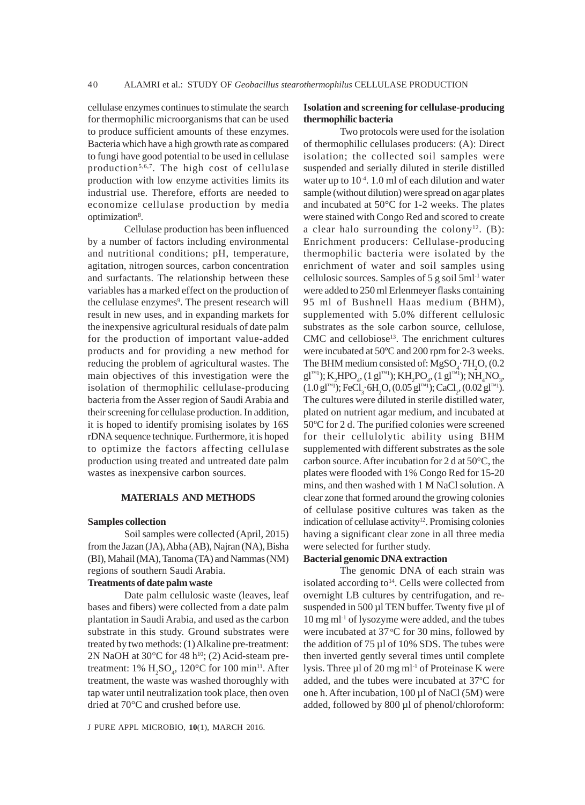cellulase enzymes continues to stimulate the search for thermophilic microorganisms that can be used to produce sufficient amounts of these enzymes. Bacteria which have a high growth rate as compared to fungi have good potential to be used in cellulase production<sup>5,6,7</sup>. The high cost of cellulase production with low enzyme activities limits its industrial use. Therefore, efforts are needed to economize cellulase production by media optimization<sup>8</sup>.

Cellulase production has been influenced by a number of factors including environmental and nutritional conditions; pH, temperature, agitation, nitrogen sources, carbon concentration and surfactants. The relationship between these variables has a marked effect on the production of the cellulase enzymes<sup>9</sup>. The present research will result in new uses, and in expanding markets for the inexpensive agricultural residuals of date palm for the production of important value-added products and for providing a new method for reducing the problem of agricultural wastes. The main objectives of this investigation were the isolation of thermophilic cellulase-producing bacteria from the Asser region of Saudi Arabia and their screening for cellulase production. In addition, it is hoped to identify promising isolates by 16S rDNA sequence technique. Furthermore, it is hoped to optimize the factors affecting cellulase production using treated and untreated date palm wastes as inexpensive carbon sources.

## **MATERIALS AND METHODS**

#### **Samples collection**

Soil samples were collected (April, 2015) from the Jazan (JA), Abha (AB), Najran (NA), Bisha (BI), Mahail (MA), Tanoma (TA) and Nammas (NM) regions of southern Saudi Arabia.

#### **Treatments of date palm waste**

Date palm cellulosic waste (leaves, leaf bases and fibers) were collected from a date palm plantation in Saudi Arabia, and used as the carbon substrate in this study. Ground substrates were treated by two methods: (1) Alkaline pre-treatment: 2N NaOH at  $30^{\circ}$ C for 48 h<sup>10</sup>; (2) Acid-steam pretreatment: 1%  $H_2SO_4$ , 120°C for 100 min<sup>11</sup>. After treatment, the waste was washed thoroughly with tap water until neutralization took place, then oven dried at 70°C and crushed before use.

J PURE APPL MICROBIO*,* **10**(1), MARCH 2016.

### **Isolation and screening for cellulase-producing thermophilic bacteria**

Two protocols were used for the isolation of thermophilic cellulases producers: (A): Direct isolation; the collected soil samples were suspended and serially diluted in sterile distilled water up to  $10^{-4}$ . 1.0 ml of each dilution and water sample (without dilution) were spread on agar plates and incubated at 50°C for 1-2 weeks. The plates were stained with Congo Red and scored to create a clear halo surrounding the colony<sup>12</sup>. (B): Enrichment producers: Cellulase-producing thermophilic bacteria were isolated by the enrichment of water and soil samples using cellulosic sources. Samples of 5 g soil 5ml-1 water were added to 250 ml Erlenmeyer flasks containing 95 ml of Bushnell Haas medium (BHM), supplemented with 5.0% different cellulosic substrates as the sole carbon source, cellulose,  $CMC$  and cellobiose<sup>13</sup>. The enrichment cultures were incubated at 50ºC and 200 rpm for 2-3 weeks. The BHM medium consisted of:  $MgSO<sub>4</sub>$   $7H<sub>2</sub>O$ , (0.2)  $\text{gl}^{\text{TM}}$ ); K<sub>2</sub>HPO<sub>4</sub>, (1 gl<sup>m1</sup>); KH<sub>2</sub>PO<sub>4</sub>, (1 gl<sup>m1</sup>); NH<sub>4</sub>NO<sub>3</sub>,  $(1.0 \text{ g} \text{I}^{\text{m1}})$ ; FeCl<sub>3</sub> $\cdot$ 6H<sub>2</sub>O,  $(0.05 \text{ g} \text{I}^{\text{m1}})$ ; CaCl<sub>2</sub>,  $(0.02 \text{ g} \text{I}^{\text{m1}})$ . The cultures were diluted in sterile distilled water, plated on nutrient agar medium, and incubated at 50ºC for 2 d. The purified colonies were screened for their cellulolytic ability using BHM supplemented with different substrates as the sole carbon source. After incubation for 2 d at 50°C, the plates were flooded with 1% Congo Red for 15-20 mins, and then washed with 1 M NaCl solution. A clear zone that formed around the growing colonies of cellulase positive cultures was taken as the indication of cellulase activity<sup>12</sup>. Promising colonies having a significant clear zone in all three media were selected for further study.

#### **Bacterial genomic DNA extraction**

The genomic DNA of each strain was isolated according to<sup>14</sup>. Cells were collected from overnight LB cultures by centrifugation, and resuspended in 500  $\mu$ l TEN buffer. Twenty five  $\mu$ l of 10 mg ml-1 of lysozyme were added, and the tubes were incubated at 37 °C for 30 mins, followed by the addition of 75 µl of 10% SDS. The tubes were then inverted gently several times until complete lysis. Three  $\mu$ l of 20 mg ml<sup>-1</sup> of Proteinase K were added, and the tubes were incubated at 37°C for one h. After incubation, 100 µl of NaCl (5M) were added, followed by 800 µl of phenol/chloroform: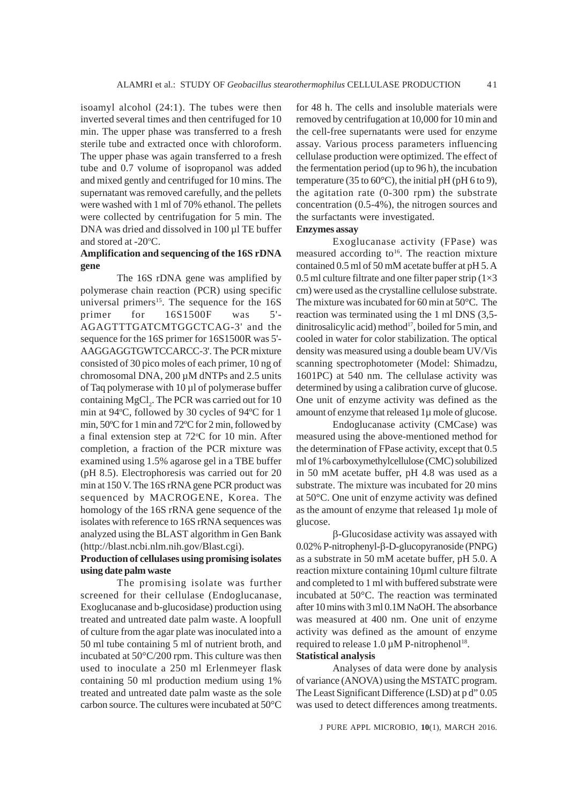isoamyl alcohol (24:1). The tubes were then inverted several times and then centrifuged for 10 min. The upper phase was transferred to a fresh sterile tube and extracted once with chloroform. The upper phase was again transferred to a fresh tube and 0.7 volume of isopropanol was added and mixed gently and centrifuged for 10 mins. The supernatant was removed carefully, and the pellets were washed with 1 ml of 70% ethanol. The pellets were collected by centrifugation for 5 min. The DNA was dried and dissolved in 100 µl TE buffer and stored at -20°C.

# **Amplification and sequencing of the 16S rDNA gene**

The 16S rDNA gene was amplified by polymerase chain reaction (PCR) using specific universal primers<sup>15</sup>. The sequence for the  $16S$ primer for 16S1500F was 5'- AGAGTTTGATCMTGGCTCAG-3' and the sequence for the 16S primer for 16S1500R was 5'- AAGGAGGTGWTCCARCC-3'. The PCR mixture consisted of 30 pico moles of each primer, 10 ng of chromosomal DNA, 200 µM dNTPs and 2.5 units of Taq polymerase with 10 µl of polymerase buffer containing  $MgCl_2$ . The PCR was carried out for 10 min at 94°C, followed by 30 cycles of 94°C for 1 min, 50ºC for 1 min and 72ºC for 2 min, followed by a final extension step at 72°C for 10 min. After completion, a fraction of the PCR mixture was examined using 1.5% agarose gel in a TBE buffer (pH 8.5). Electrophoresis was carried out for 20 min at 150 V. The 16S rRNA gene PCR product was sequenced by MACROGENE, Korea. The homology of the 16S rRNA gene sequence of the isolates with reference to 16S rRNA sequences was analyzed using the BLAST algorithm in Gen Bank (http://blast.ncbi.nlm.nih.gov/Blast.cgi).

# **Production of cellulases using promising isolates using date palm waste**

The promising isolate was further screened for their cellulase (Endoglucanase, Exoglucanase and b-glucosidase) production using treated and untreated date palm waste. A loopfull of culture from the agar plate was inoculated into a 50 ml tube containing 5 ml of nutrient broth, and incubated at 50°C/200 rpm. This culture was then used to inoculate a 250 ml Erlenmeyer flask containing 50 ml production medium using 1% treated and untreated date palm waste as the sole carbon source. The cultures were incubated at 50°C

for 48 h. The cells and insoluble materials were removed by centrifugation at 10,000 for 10 min and the cell-free supernatants were used for enzyme assay. Various process parameters influencing cellulase production were optimized. The effect of the fermentation period (up to 96 h), the incubation temperature (35 to 60 $^{\circ}$ C), the initial pH (pH 6 to 9), the agitation rate (0-300 rpm) the substrate concentration (0.5-4%), the nitrogen sources and the surfactants were investigated.

# **Enzymes assay**

Exoglucanase activity (FPase) was measured according to<sup>16</sup>. The reaction mixture contained 0.5 ml of 50 mM acetate buffer at pH 5. A 0.5 ml culture filtrate and one filter paper strip  $(1\times3)$ cm) were used as the crystalline cellulose substrate. The mixture was incubated for 60 min at 50°C. The reaction was terminated using the 1 ml DNS (3,5dinitrosalicylic acid) method<sup>17</sup>, boiled for 5 min, and cooled in water for color stabilization. The optical density was measured using a double beam UV/Vis scanning spectrophotometer (Model: Shimadzu, 1601PC) at 540 nm. The cellulase activity was determined by using a calibration curve of glucose. One unit of enzyme activity was defined as the amount of enzyme that released 1µ mole of glucose.

Endoglucanase activity (CMCase) was measured using the above-mentioned method for the determination of FPase activity, except that 0.5 ml of 1% carboxymethylcellulose (CMC) solubilized in 50 mM acetate buffer, pH 4.8 was used as a substrate. The mixture was incubated for 20 mins at 50°C. One unit of enzyme activity was defined as the amount of enzyme that released 1µ mole of glucose.

β-Glucosidase activity was assayed with 0.02% P-nitrophenyl-β-D-glucopyranoside (PNPG) as a substrate in 50 mM acetate buffer, pH 5.0. A reaction mixture containing 10µml culture filtrate and completed to 1 ml with buffered substrate were incubated at 50°C. The reaction was terminated after 10 mins with 3 ml 0.1M NaOH. The absorbance was measured at 400 nm. One unit of enzyme activity was defined as the amount of enzyme required to release  $1.0 \mu M$  P-nitrophenol<sup>18</sup>.

# **Statistical analysis**

Analyses of data were done by analysis of variance (ANOVA) using the MSTATC program. The Least Significant Difference (LSD) at p d" 0.05 was used to detect differences among treatments.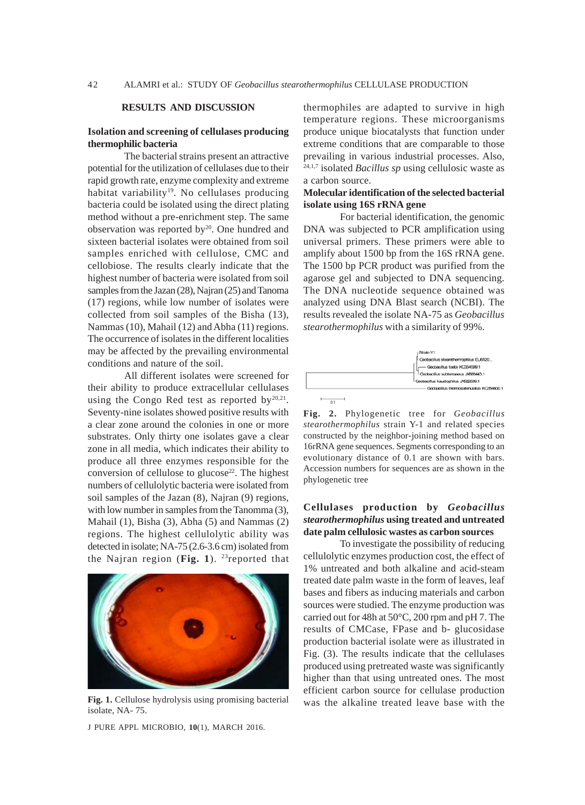#### **RESULTS AND DISCUSSION**

## **Isolation and screening of cellulases producing thermophilic bacteria**

The bacterial strains present an attractive potential for the utilization of cellulases due to their rapid growth rate, enzyme complexity and extreme habitat variability<sup>19</sup>. No cellulases producing bacteria could be isolated using the direct plating method without a pre-enrichment step. The same observation was reported by<sup>20</sup>. One hundred and sixteen bacterial isolates were obtained from soil samples enriched with cellulose, CMC and cellobiose. The results clearly indicate that the highest number of bacteria were isolated from soil samples from the Jazan (28), Najran (25) and Tanoma (17) regions, while low number of isolates were collected from soil samples of the Bisha (13), Nammas (10), Mahail (12) and Abha (11) regions. The occurrence of isolates in the different localities may be affected by the prevailing environmental conditions and nature of the soil.

All different isolates were screened for their ability to produce extracellular cellulases using the Congo Red test as reported by $20,21$ . Seventy-nine isolates showed positive results with a clear zone around the colonies in one or more substrates. Only thirty one isolates gave a clear zone in all media, which indicates their ability to produce all three enzymes responsible for the conversion of cellulose to glucose $22$ . The highest numbers of cellulolytic bacteria were isolated from soil samples of the Jazan (8), Najran (9) regions, with low number in samples from the Tanomma  $(3)$ , Mahail  $(1)$ , Bisha  $(3)$ , Abha  $(5)$  and Nammas  $(2)$ regions. The highest cellulolytic ability was detected in isolate; NA-75 (2.6-3.6 cm) isolated from the Najran region (Fig. 1). <sup>23</sup>reported that



**Fig. 1.** Cellulose hydrolysis using promising bacterial isolate, NA- 75.

J PURE APPL MICROBIO*,* **10**(1), MARCH 2016.

thermophiles are adapted to survive in high temperature regions. These microorganisms produce unique biocatalysts that function under extreme conditions that are comparable to those prevailing in various industrial processes. Also, 24,1,7 isolated *Bacillus sp* using cellulosic waste as a carbon source.

### **Molecular identification of the selected bacterial isolate using 16S rRNA gene**

For bacterial identification, the genomic DNA was subjected to PCR amplification using universal primers. These primers were able to amplify about 1500 bp from the 16S rRNA gene. The 1500 bp PCR product was purified from the agarose gel and subjected to DNA sequencing. The DNA nucleotide sequence obtained was analyzed using DNA Blast search (NCBI). The results revealed the isolate NA-75 as *Geobacillus stearothermophilus* with a similarity of 99%.



**Fig. 2.** Phylogenetic tree for *Geobacillus stearothermophilus* strain Y-1 and related species constructed by the neighbor-joining method based on 16rRNA gene sequences. Segments corresponding to an evolutionary distance of 0.1 are shown with bars. Accession numbers for sequences are as shown in the phylogenetic tree

# **Cellulases production by** *Geobacillus stearothermophilus* **using treated and untreated date palm cellulosic wastes as carbon sources**

To investigate the possibility of reducing cellulolytic enzymes production cost, the effect of 1% untreated and both alkaline and acid-steam treated date palm waste in the form of leaves, leaf bases and fibers as inducing materials and carbon sources were studied. The enzyme production was carried out for 48h at 50°C, 200 rpm and pH 7. The results of CMCase, FPase and b- glucosidase production bacterial isolate were as illustrated in Fig. (3). The results indicate that the cellulases produced using pretreated waste was significantly higher than that using untreated ones. The most efficient carbon source for cellulase production was the alkaline treated leave base with the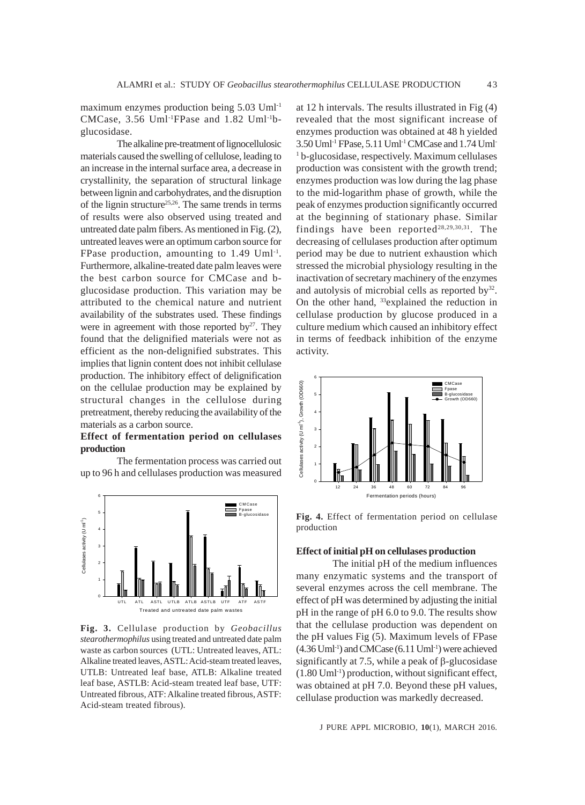maximum enzymes production being 5.03 Uml-1 CMCase, 3.56 Uml-1FPase and 1.82 Uml-1bglucosidase.

The alkaline pre-treatment of lignocellulosic materials caused the swelling of cellulose, leading to an increase in the internal surface area, a decrease in crystallinity, the separation of structural linkage between lignin and carbohydrates, and the disruption of the lignin structure<sup>25,26</sup>. The same trends in terms of results were also observed using treated and untreated date palm fibers. As mentioned in Fig. (2), untreated leaves were an optimum carbon source for FPase production, amounting to  $1.49$  Uml<sup>-1</sup>. Furthermore, alkaline-treated date palm leaves were the best carbon source for CMCase and bglucosidase production. This variation may be attributed to the chemical nature and nutrient availability of the substrates used. These findings were in agreement with those reported by $27$ . They found that the delignified materials were not as efficient as the non-delignified substrates. This implies that lignin content does not inhibit cellulase production. The inhibitory effect of delignification on the cellulae production may be explained by structural changes in the cellulose during pretreatment, thereby reducing the availability of the materials as a carbon source.

## **Effect of fermentation period on cellulases production**

The fermentation process was carried out up to 96 h and cellulases production was measured



**Fig. 3.** Cellulase production by *Geobacillus stearothermophilus* using treated and untreated date palm waste as carbon sources (UTL: Untreated leaves, ATL: Alkaline treated leaves, ASTL: Acid-steam treated leaves, UTLB: Untreated leaf base, ATLB: Alkaline treated leaf base, ASTLB: Acid-steam treated leaf base, UTF: Untreated fibrous, ATF: Alkaline treated fibrous, ASTF: Acid-steam treated fibrous).

at 12 h intervals. The results illustrated in Fig (4) revealed that the most significant increase of enzymes production was obtained at 48 h yielded 3.50 Uml-1 FPase, 5.11 Uml-1 CMCase and 1.74 Uml-1 b-glucosidase, respectively. Maximum cellulases production was consistent with the growth trend; enzymes production was low during the lag phase to the mid-logarithm phase of growth, while the peak of enzymes production significantly occurred at the beginning of stationary phase. Similar findings have been reported $28,29,30,31$ . The decreasing of cellulases production after optimum period may be due to nutrient exhaustion which stressed the microbial physiology resulting in the inactivation of secretary machinery of the enzymes and autolysis of microbial cells as reported by<sup>32</sup>. On the other hand, 33explained the reduction in cellulase production by glucose produced in a culture medium which caused an inhibitory effect in terms of feedback inhibition of the enzyme activity.



**Fig. 4.** Effect of fermentation period on cellulase production

# **Effect of initial pH on cellulases production**

The initial pH of the medium influences many enzymatic systems and the transport of several enzymes across the cell membrane. The effect of pH was determined by adjusting the initial pH in the range of pH 6.0 to 9.0. The results show that the cellulase production was dependent on the pH values Fig (5). Maximum levels of FPase  $(4.36 \text{ Uml}^{-1})$  and CMCase  $(6.11 \text{ Uml}^{-1})$  were achieved significantly at 7.5, while a peak of  $\beta$ -glucosidase (1.80 Uml-1) production, without significant effect, was obtained at pH 7.0. Beyond these pH values, cellulase production was markedly decreased.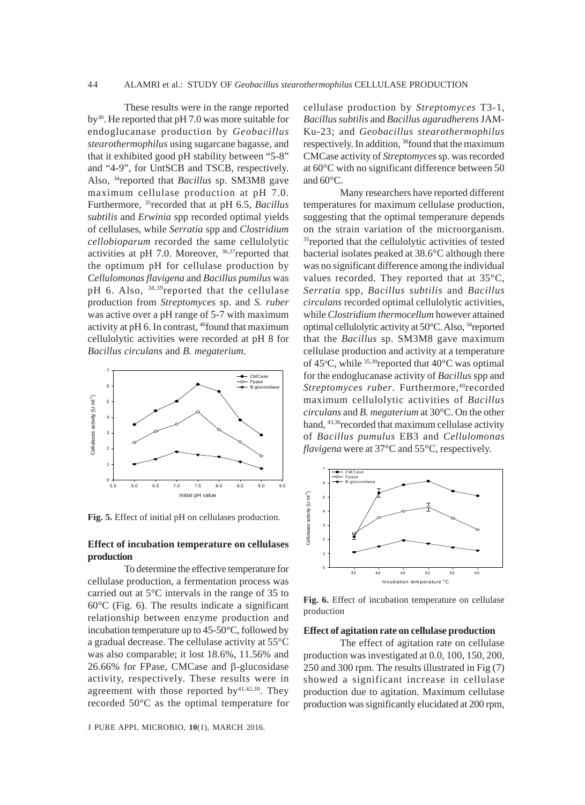These results were in the range reported by30. He reported that pH 7.0 was more suitable for endoglucanase production by *Geobacillus stearothermophilus* using sugarcane bagasse, and that it exhibited good pH stability between "5-8" and "4-9", for UntSCB and TSCB, respectively. Also, 34reported that *Bacillus* sp. SM3M8 gave maximum cellulase production at pH 7.0. Furthermore, 35recorded that at pH 6.5, *Bacillus subtilis* and *Erwinia* spp recorded optimal yields of cellulases, while *Serratia* spp and *Clostridium cellobioparum* recorded the same cellulolytic activities at pH 7.0. Moreover, 36,37reported that the optimum pH for cellulase production by *Cellulomonas flavigena* and *Bacillus pumilus* was pH 6. Also, <sup>38,39</sup>reported that the cellulase production from *Streptomyces* sp. and *S. ruber* was active over a pH range of 5-7 with maximum activity at pH 6. In contrast, 40found that maximum cellulolytic activities were recorded at pH 8 for *Bacillus circulans* and *B. megaterium*.



**Fig. 5.** Effect of initial pH on cellulases production.

## **Effect of incubation temperature on cellulases production**

To determine the effective temperature for cellulase production, a fermentation process was carried out at 5°C intervals in the range of 35 to 60°C (Fig. 6). The results indicate a significant relationship between enzyme production and incubation temperature up to 45-50°C, followed by a gradual decrease. The cellulase activity at 55°C was also comparable; it lost 18.6%, 11.56% and 26.66% for FPase, CMCase and β-glucosidase activity, respectively. These results were in agreement with those reported by<sup>41,42,30</sup>. They recorded 50°C as the optimal temperature for cellulase production by *Streptomyces* T3-1, *Bacillus subtilis* and *Bacillus agaradherens* JAM-Ku-23; and *Geobacillus stearothermophilus* respectively. In addition, 38found that the maximum CMCase activity of *Streptomyces* sp. was recorded at 60°C with no significant difference between 50 and 60°C.

Many researchers have reported different temperatures for maximum cellulase production, suggesting that the optimal temperature depends on the strain variation of the microorganism. <sup>35</sup>reported that the cellulolytic activities of tested bacterial isolates peaked at 38.6°C although there was no significant difference among the individual values recorded. They reported that at 35°C, *Serratia* spp, *Bacillus subtilis* and *Bacillus circulans* recorded optimal cellulolytic activities, while *Clostridium thermocellum* however attained optimal cellulolytic activity at 50°C. Also, 34reported that the *Bacillus* sp. SM3M8 gave maximum cellulase production and activity at a temperature of 45 $\rm ^{o}C$ , while  $\rm ^{35,39}$ reported that 40 $\rm ^{o}C$  was optimal for the endoglucanase activity of *Bacillus* spp and *Streptomyces ruber*. Furthermore,<sup>40</sup>recorded maximum cellulolytic activities of *Bacillus circulans* and *B. megaterium* at 30°C. On the other hand, 43,36recorded that maximum cellulase activity of *Bacillus pumulus* EB3 and *Cellulomonas flavigena* were at 37°C and 55°C, respectively.



**Fig. 6.** Effect of incubation temperature on cellulase production

#### **Effect of agitation rate on cellulase production**

The effect of agitation rate on cellulase production was investigated at 0.0, 100, 150, 200, 250 and 300 rpm. The results illustrated in Fig (7) showed a significant increase in cellulase production due to agitation. Maximum cellulase production was significantly elucidated at 200 rpm,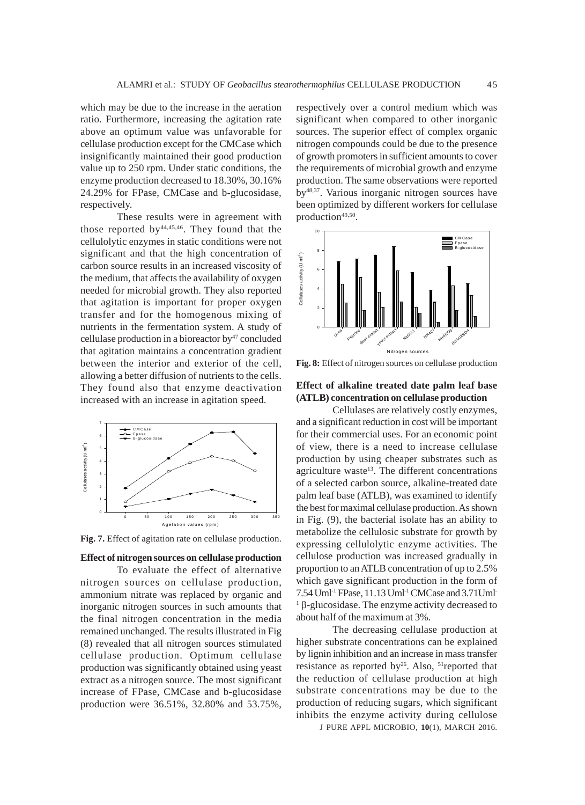which may be due to the increase in the aeration ratio. Furthermore, increasing the agitation rate above an optimum value was unfavorable for cellulase production except for the CMCase which insignificantly maintained their good production value up to 250 rpm. Under static conditions, the enzyme production decreased to 18.30%, 30.16% 24.29% for FPase, CMCase and b-glucosidase, respectively.

These results were in agreement with those reported by44,45,46. They found that the cellulolytic enzymes in static conditions were not significant and that the high concentration of carbon source results in an increased viscosity of the medium, that affects the availability of oxygen needed for microbial growth. They also reported that agitation is important for proper oxygen transfer and for the homogenous mixing of nutrients in the fermentation system. A study of cellulase production in a bioreactor by $47$  concluded that agitation maintains a concentration gradient between the interior and exterior of the cell, allowing a better diffusion of nutrients to the cells. They found also that enzyme deactivation increased with an increase in agitation speed.



**Fig. 7.** Effect of agitation rate on cellulase production.

# **Effect of nitrogen sources on cellulase production**

To evaluate the effect of alternative nitrogen sources on cellulase production, ammonium nitrate was replaced by organic and inorganic nitrogen sources in such amounts that the final nitrogen concentration in the media remained unchanged. The results illustrated in Fig (8) revealed that all nitrogen sources stimulated cellulase production. Optimum cellulase production was significantly obtained using yeast extract as a nitrogen source. The most significant increase of FPase, CMCase and b-glucosidase production were 36.51%, 32.80% and 53.75%, respectively over a control medium which was significant when compared to other inorganic sources. The superior effect of complex organic nitrogen compounds could be due to the presence of growth promoters in sufficient amounts to cover the requirements of microbial growth and enzyme production. The same observations were reported by48,37. Various inorganic nitrogen sources have been optimized by different workers for cellulase production<sup>49,50</sup>.



**Fig. 8:** Effect of nitrogen sources on cellulase production

# **Effect of alkaline treated date palm leaf base (ATLB) concentration on cellulase production**

Cellulases are relatively costly enzymes, and a significant reduction in cost will be important for their commercial uses. For an economic point of view, there is a need to increase cellulase production by using cheaper substrates such as agriculture waste<sup>13</sup>. The different concentrations of a selected carbon source, alkaline-treated date palm leaf base (ATLB), was examined to identify the best for maximal cellulase production. As shown in Fig. (9), the bacterial isolate has an ability to metabolize the cellulosic substrate for growth by expressing cellulolytic enzyme activities. The cellulose production was increased gradually in proportion to an ATLB concentration of up to 2.5% which gave significant production in the form of 7.54 Uml-1 FPase, 11.13 Uml-1 CMCase and 3.71Uml- $<sup>1</sup>$  β-glucosidase. The enzyme activity decreased to</sup> about half of the maximum at 3%.

The decreasing cellulase production at higher substrate concentrations can be explained by lignin inhibition and an increase in mass transfer resistance as reported by<sup>26</sup>. Also, <sup>51</sup>reported that the reduction of cellulase production at high substrate concentrations may be due to the production of reducing sugars, which significant inhibits the enzyme activity during cellulose

J PURE APPL MICROBIO*,* **10**(1), MARCH 2016.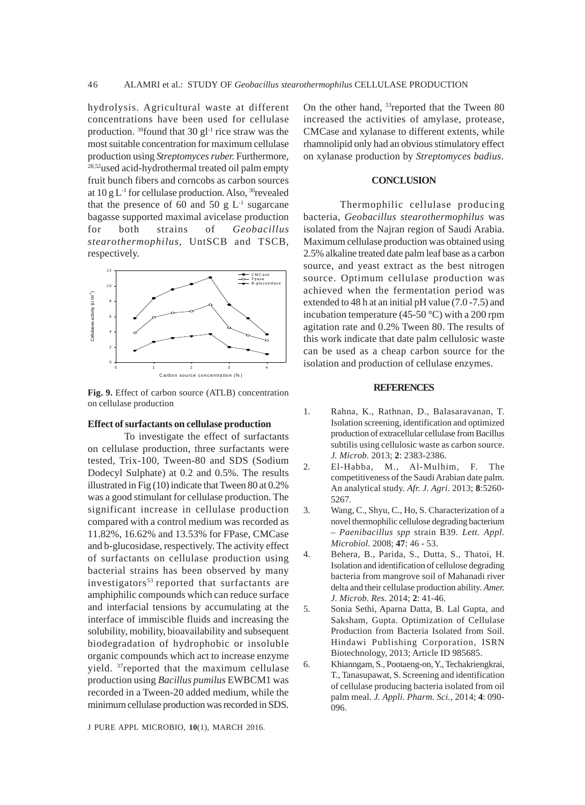hydrolysis. Agricultural waste at different concentrations have been used for cellulase production.  $39$  found that 30 gl<sup>-1</sup> rice straw was the most suitable concentration for maximum cellulase production using *Streptomyces ruber.* Furthermore, 28,52used acid-hydrothermal treated oil palm empty fruit bunch fibers and corncobs as carbon sources at  $10 \text{ g L}^{-1}$  for cellulase production. Also, <sup>30</sup>revealed that the presence of 60 and 50 g  $L^{-1}$  sugarcane bagasse supported maximal avicelase production for both strains of *Geobacillus stearothermophilus*, UntSCB and TSCB, respectively.



**Fig. 9.** Effect of carbon source (ATLB) concentration on cellulase production

#### **Effect of surfactants on cellulase production**

To investigate the effect of surfactants on cellulase production, three surfactants were tested, Trix-100, Tween-80 and SDS (Sodium Dodecyl Sulphate) at 0.2 and 0.5%. The results illustrated in Fig (10) indicate that Tween 80 at 0.2% was a good stimulant for cellulase production. The significant increase in cellulase production compared with a control medium was recorded as 11.82%, 16.62% and 13.53% for FPase, CMCase and b-glucosidase, respectively. The activity effect of surfactants on cellulase production using bacterial strains has been observed by many investigators $53$  reported that surfactants are amphiphilic compounds which can reduce surface and interfacial tensions by accumulating at the interface of immiscible fluids and increasing the solubility, mobility, bioavailability and subsequent biodegradation of hydrophobic or insoluble organic compounds which act to increase enzyme yield. 37reported that the maximum cellulase production using *Bacillus pumilus* EWBCM1 was recorded in a Tween-20 added medium, while the minimum cellulase production was recorded in SDS.

J PURE APPL MICROBIO*,* **10**(1), MARCH 2016.

On the other hand, <sup>53</sup>reported that the Tween 80 increased the activities of amylase, protease, CMCase and xylanase to different extents, while rhamnolipid only had an obvious stimulatory effect on xylanase production by *Streptomyces badius*.

#### **CONCLUSION**

Thermophilic cellulase producing bacteria, *Geobacillus stearothermophilus* was isolated from the Najran region of Saudi Arabia. Maximum cellulase production was obtained using 2.5% alkaline treated date palm leaf base as a carbon source, and yeast extract as the best nitrogen source. Optimum cellulase production was achieved when the fermentation period was extended to 48 h at an initial pH value (7.0 -7.5) and incubation temperature (45-50 °C) with a 200 rpm agitation rate and 0.2% Tween 80. The results of this work indicate that date palm cellulosic waste can be used as a cheap carbon source for the isolation and production of cellulase enzymes.

#### **REFERENCES**

- 1. Rahna, K., Rathnan, D., Balasaravanan, T. Isolation screening, identification and optimized production of extracellular cellulase from Bacillus subtilis using cellulosic waste as carbon source. *J. Microb.* 2013; **2**: 2383-2386.
- 2. El-Habba, M., Al-Mulhim, F. The competitiveness of the Saudi Arabian date palm. An analytical study. *Afr. J. Agri.* 2013; **8**:5260- 5267.
- 3. Wang, C., Shyu, C., Ho, S. Characterization of a novel thermophilic cellulose degrading bacterium – *Paenibacillus spp* strain B39. *Lett. Appl. Microbiol*. 2008; **47**: 46 - 53.
- 4. Behera, B., Parida, S., Dutta, S., Thatoi, H. Isolation and identification of cellulose degrading bacteria from mangrove soil of Mahanadi river delta and their cellulase production ability. *Amer. J. Microb. Res.* 2014; **2**: 41-46.
- 5. Sonia Sethi, Aparna Datta, B. Lal Gupta, and Saksham, Gupta. Optimization of Cellulase Production from Bacteria Isolated from Soil. Hindawi Publishing Corporation, ISRN Biotechnology, 2013; Article ID 985685.
- 6. Khianngam, S., Pootaeng-on, Y., Techakriengkrai, T., Tanasupawat, S. Screening and identification of cellulase producing bacteria isolated from oil palm meal. *J. Appli. Pharm. Sci.*, 2014; **4**: 090- 096.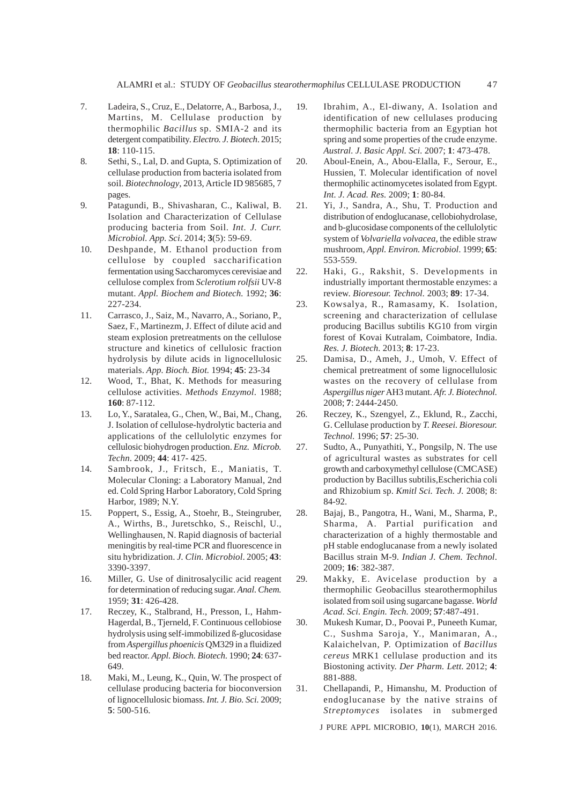- 7. Ladeira, S., Cruz, E., Delatorre, A., Barbosa, J., Martins, M. Cellulase production by thermophilic *Bacillus* sp. SMIA-2 and its detergent compatibility. *Electro. J. Biotech*. 2015; **18**: 110-115.
- 8. Sethi, S., Lal, D. and Gupta, S. Optimization of cellulase production from bacteria isolated from soil. *Biotechnology*, 2013, Article ID 985685, 7 pages.
- 9. Patagundi, B., Shivasharan, C., Kaliwal, B. Isolation and Characterization of Cellulase producing bacteria from Soil. *Int. J. Curr. Microbiol. App. Sci*. 2014; **3**(5): 59-69.
- 10. Deshpande, M. Ethanol production from cellulose by coupled saccharification fermentation using Saccharomyces cerevisiae and cellulose complex from *Sclerotium rolfsii* UV-8 mutant. *Appl. Biochem and Biotech.* 1992; **36**: 227-234.
- 11. Carrasco, J., Saiz, M., Navarro, A., Soriano, P., Saez, F., Martinezm, J. Effect of dilute acid and steam explosion pretreatments on the cellulose structure and kinetics of cellulosic fraction hydrolysis by dilute acids in lignocellulosic materials. *App. Bioch. Biot.* 1994; **45**: 23-34
- 12. Wood, T., Bhat, K. Methods for measuring cellulose activities. *Methods Enzymol*. 1988; **160**: 87-112.
- 13. Lo, Y., Saratalea, G., Chen, W., Bai, M., Chang, J. Isolation of cellulose-hydrolytic bacteria and applications of the cellulolytic enzymes for cellulosic biohydrogen production. *Enz. Microb. Techn*. 2009; **44**: 417- 425.
- 14. Sambrook, J., Fritsch, E., Maniatis, T. Molecular Cloning: a Laboratory Manual, 2nd ed. Cold Spring Harbor Laboratory, Cold Spring Harbor, 1989; N.Y.
- 15. Poppert, S., Essig, A., Stoehr, B., Steingruber, A., Wirths, B., Juretschko, S., Reischl, U., Wellinghausen, N. Rapid diagnosis of bacterial meningitis by real-time PCR and fluorescence in situ hybridization. *J. Clin. Microbiol*. 2005; **43**: 3390-3397.
- 16. Miller, G. Use of dinitrosalycilic acid reagent for determination of reducing sugar. *Anal. Chem.* 1959; **31**: 426-428.
- 17. Reczey, K., Stalbrand, H., Presson, I., Hahm-Hagerdal, B., Tjerneld, F. Continuous cellobiose hydrolysis using self-immobilized ß-glucosidase from *Aspergillus phoenicis* QM329 in a fluidized bed reactor. *Appl. Bioch. Biotech*. 1990; **24**: 637- 649.
- 18. Maki, M., Leung, K., Quin, W. The prospect of cellulase producing bacteria for bioconversion of lignocellulosic biomass. *Int. J. Bio. Sci.* 2009; **5**: 500-516.
- 19. Ibrahim, A., El-diwany, A. Isolation and identification of new cellulases producing thermophilic bacteria from an Egyptian hot spring and some properties of the crude enzyme. *Austral. J. Basic Appl. Sci.* 2007; **1**: 473-478.
- 20. Aboul-Enein, A., Abou-Elalla, F., Serour, E., Hussien, T. Molecular identification of novel thermophilic actinomycetes isolated from Egypt. *Int. J. Acad. Res.* 2009; **1**: 80-84.
- 21. Yi, J., Sandra, A., Shu, T. Production and distribution of endoglucanase, cellobiohydrolase, and b-glucosidase components of the cellulolytic system of *Volvariella volvacea*, the edible straw mushroom, *Appl. Environ. Microbiol*. 1999; **65**: 553-559.
- 22. Haki, G., Rakshit, S. Developments in industrially important thermostable enzymes: a review. *Bioresour. Technol.* 2003; **89**: 17-34.
- 23. Kowsalya, R., Ramasamy, K. Isolation, screening and characterization of cellulase producing Bacillus subtilis KG10 from virgin forest of Kovai Kutralam, Coimbatore, India. *Res. J. Biotech.* 2013; **8**: 17-23.
- 25. Damisa, D., Ameh, J., Umoh, V. Effect of chemical pretreatment of some lignocellulosic wastes on the recovery of cellulase from *Aspergillus niger* AH3 mutant. *Afr. J. Biotechnol.* 2008; **7**: 2444-2450.
- 26. Reczey, K., Szengyel, Z., Eklund, R., Zacchi, G. Cellulase production by *T. Reesei. Bioresour. Technol.* 1996; **57**: 25-30.
- 27. Sudto, A., Punyathiti, Y., Pongsilp, N. The use of agricultural wastes as substrates for cell growth and carboxymethyl cellulose (CMCASE) production by Bacillus subtilis,Escherichia coli and Rhizobium sp. *Kmitl Sci. Tech. J.* 2008; 8: 84-92.
- 28. Bajaj, B., Pangotra, H., Wani, M., Sharma, P., Sharma, A. Partial purification and characterization of a highly thermostable and pH stable endoglucanase from a newly isolated Bacillus strain M-9. *Indian J. Chem. Technol*. 2009; **16**: 382-387.

29. Makky, E. Avicelase production by a thermophilic Geobacillus stearothermophilus isolated from soil using sugarcane bagasse. *World Acad. Sci. Engin. Tech.* 2009; **57**:487-491.

- 30. Mukesh Kumar, D., Poovai P., Puneeth Kumar, C., Sushma Saroja, Y., Manimaran, A., Kalaichelvan, P. Optimization of *Bacillus cereus* MRK1 cellulase production and its Biostoning activity. *Der Pharm. Lett.* 2012; **4**: 881-888.
- 31. Chellapandi, P., Himanshu, M. Production of endoglucanase by the native strains of *Streptomyces* isolates in submerged

J PURE APPL MICROBIO*,* **10**(1), MARCH 2016.